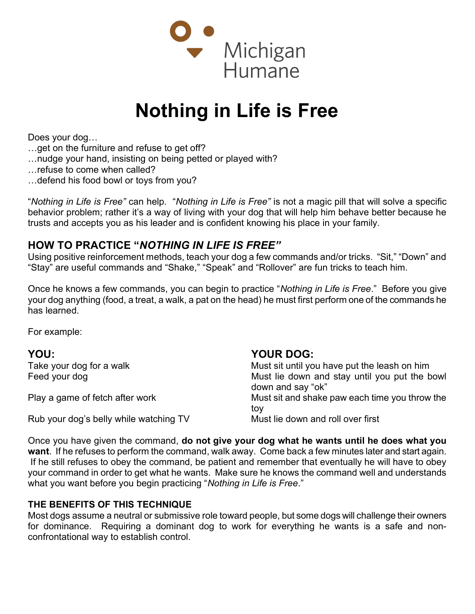

## Nothing in Life is Free

Does your dog…

- …get on the furniture and refuse to get off?
- …nudge your hand, insisting on being petted or played with?
- …refuse to come when called?
- …defend his food bowl or toys from you?

"Nothing in Life is Free" can help. "Nothing in Life is Free" is not a magic pill that will solve a specific behavior problem; rather it's a way of living with your dog that will help him behave better because he trusts and accepts you as his leader and is confident knowing his place in your family.

## HOW TO PRACTICE "NOTHING IN LIFE IS FREE"

Using positive reinforcement methods, teach your dog a few commands and/or tricks. "Sit," "Down" and "Stay" are useful commands and "Shake," "Speak" and "Rollover" are fun tricks to teach him.

Once he knows a few commands, you can begin to practice "Nothing in Life is Free." Before you give your dog anything (food, a treat, a walk, a pat on the head) he must first perform one of the commands he has learned.

For example:

| YOU:                                   | <b>YOUR DOG:</b>                                                   |
|----------------------------------------|--------------------------------------------------------------------|
| Take your dog for a walk               | Must sit until you have put the leash on him                       |
| Feed your dog                          | Must lie down and stay until you put the bowl<br>down and say "ok" |
| Play a game of fetch after work        | Must sit and shake paw each time you throw the<br>tov              |
| Rub your dog's belly while watching TV | Must lie down and roll over first                                  |

Once you have given the command, do not give your dog what he wants until he does what you want. If he refuses to perform the command, walk away. Come back a few minutes later and start again. If he still refuses to obey the command, be patient and remember that eventually he will have to obey your command in order to get what he wants. Make sure he knows the command well and understands what you want before you begin practicing "Nothing in Life is Free."

## THE BENEFITS OF THIS TECHNIQUE

Most dogs assume a neutral or submissive role toward people, but some dogs will challenge their owners for dominance. Requiring a dominant dog to work for everything he wants is a safe and nonconfrontational way to establish control.